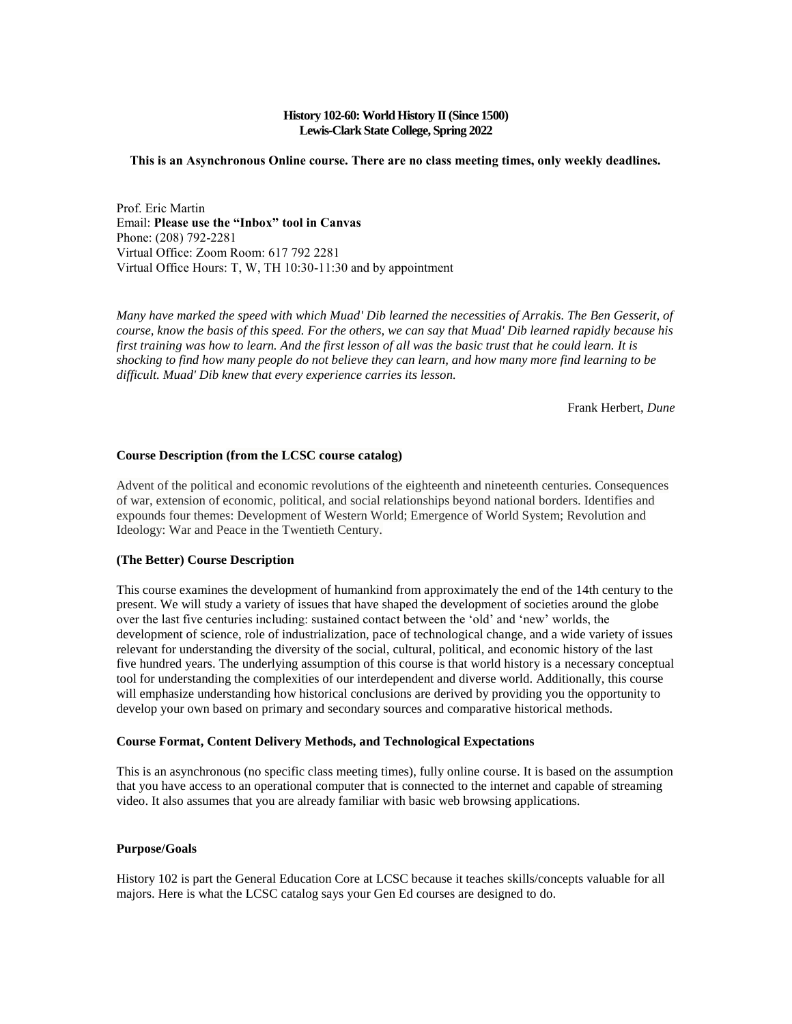## **History 102-60: World History II (Since 1500) Lewis-Clark State College, Spring 2022**

#### **This is an Asynchronous Online course. There are no class meeting times, only weekly deadlines.**

Prof. Eric Martin Email: **Please use the "Inbox" tool in Canvas** Phone: (208) 792-2281 Virtual Office: Zoom Room: 617 792 2281 Virtual Office Hours: T, W, TH 10:30-11:30 and by appointment

*Many have marked the speed with which Muad' Dib learned the necessities of Arrakis. The Ben Gesserit, of course, know the basis of this speed. For the others, we can say that Muad' Dib learned rapidly because his first training was how to learn. And the first lesson of all was the basic trust that he could learn. It is shocking to find how many people do not believe they can learn, and how many more find learning to be difficult. Muad' Dib knew that every experience carries its lesson.*

Frank Herbert, *Dune*

## **Course Description (from the LCSC course catalog)**

Advent of the political and economic revolutions of the eighteenth and nineteenth centuries. Consequences of war, extension of economic, political, and social relationships beyond national borders. Identifies and expounds four themes: Development of Western World; Emergence of World System; Revolution and Ideology: War and Peace in the Twentieth Century.

#### **(The Better) Course Description**

This course examines the development of humankind from approximately the end of the 14th century to the present. We will study a variety of issues that have shaped the development of societies around the globe over the last five centuries including: sustained contact between the 'old' and 'new' worlds, the development of science, role of industrialization, pace of technological change, and a wide variety of issues relevant for understanding the diversity of the social, cultural, political, and economic history of the last five hundred years. The underlying assumption of this course is that world history is a necessary conceptual tool for understanding the complexities of our interdependent and diverse world. Additionally, this course will emphasize understanding how historical conclusions are derived by providing you the opportunity to develop your own based on primary and secondary sources and comparative historical methods.

## **Course Format, Content Delivery Methods, and Technological Expectations**

This is an asynchronous (no specific class meeting times), fully online course. It is based on the assumption that you have access to an operational computer that is connected to the internet and capable of streaming video. It also assumes that you are already familiar with basic web browsing applications.

#### **Purpose/Goals**

History 102 is part the General Education Core at LCSC because it teaches skills/concepts valuable for all majors. Here is what the LCSC catalog says your Gen Ed courses are designed to do.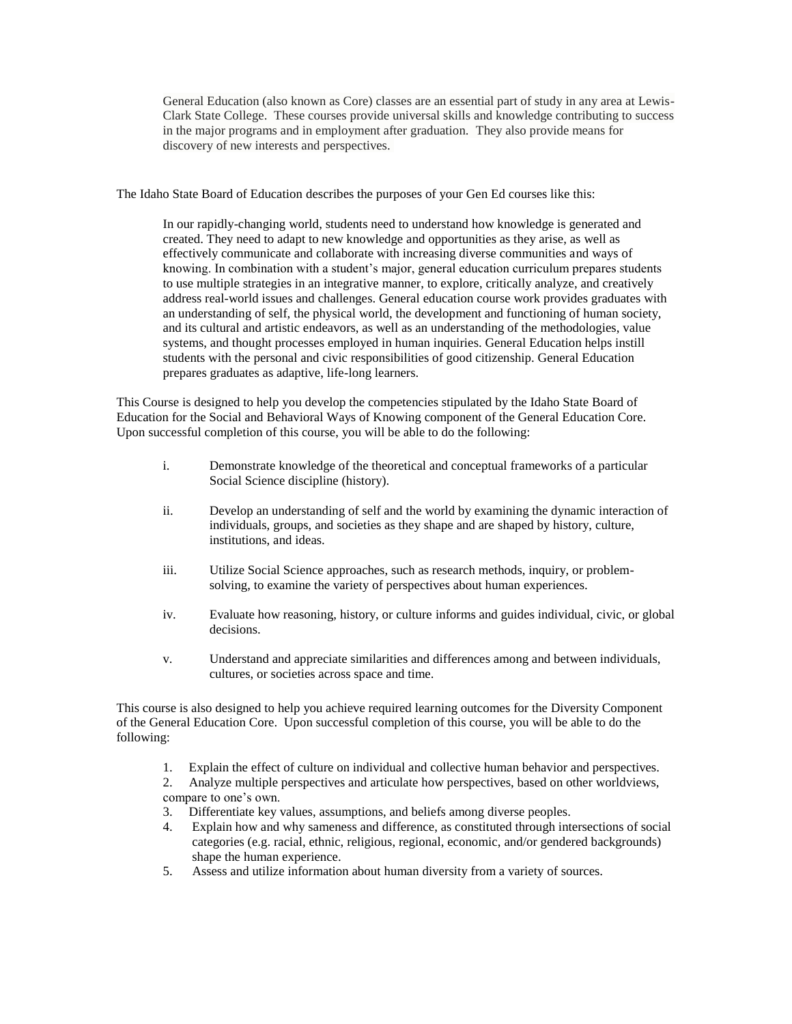General Education (also known as Core) classes are an essential part of study in any area at Lewis-Clark State College. These courses provide universal skills and knowledge contributing to success in the major programs and in employment after graduation. They also provide means for discovery of new interests and perspectives.

The Idaho State Board of Education describes the purposes of your Gen Ed courses like this:

In our rapidly-changing world, students need to understand how knowledge is generated and created. They need to adapt to new knowledge and opportunities as they arise, as well as effectively communicate and collaborate with increasing diverse communities and ways of knowing. In combination with a student's major, general education curriculum prepares students to use multiple strategies in an integrative manner, to explore, critically analyze, and creatively address real-world issues and challenges. General education course work provides graduates with an understanding of self, the physical world, the development and functioning of human society, and its cultural and artistic endeavors, as well as an understanding of the methodologies, value systems, and thought processes employed in human inquiries. General Education helps instill students with the personal and civic responsibilities of good citizenship. General Education prepares graduates as adaptive, life-long learners.

This Course is designed to help you develop the competencies stipulated by the Idaho State Board of Education for the Social and Behavioral Ways of Knowing component of the General Education Core. Upon successful completion of this course, you will be able to do the following:

- i. Demonstrate knowledge of the theoretical and conceptual frameworks of a particular Social Science discipline (history).
- ii. Develop an understanding of self and the world by examining the dynamic interaction of individuals, groups, and societies as they shape and are shaped by history, culture, institutions, and ideas.
- iii. Utilize Social Science approaches, such as research methods, inquiry, or problemsolving, to examine the variety of perspectives about human experiences.
- iv. Evaluate how reasoning, history, or culture informs and guides individual, civic, or global decisions.
- v. Understand and appreciate similarities and differences among and between individuals, cultures, or societies across space and time.

This course is also designed to help you achieve required learning outcomes for the Diversity Component of the General Education Core. Upon successful completion of this course, you will be able to do the following:

- 1. Explain the effect of culture on individual and collective human behavior and perspectives.
- 2. Analyze multiple perspectives and articulate how perspectives, based on other worldviews, compare to one's own.
- 3. Differentiate key values, assumptions, and beliefs among diverse peoples.
- 4. Explain how and why sameness and difference, as constituted through intersections of social categories (e.g. racial, ethnic, religious, regional, economic, and/or gendered backgrounds) shape the human experience.
- 5. Assess and utilize information about human diversity from a variety of sources.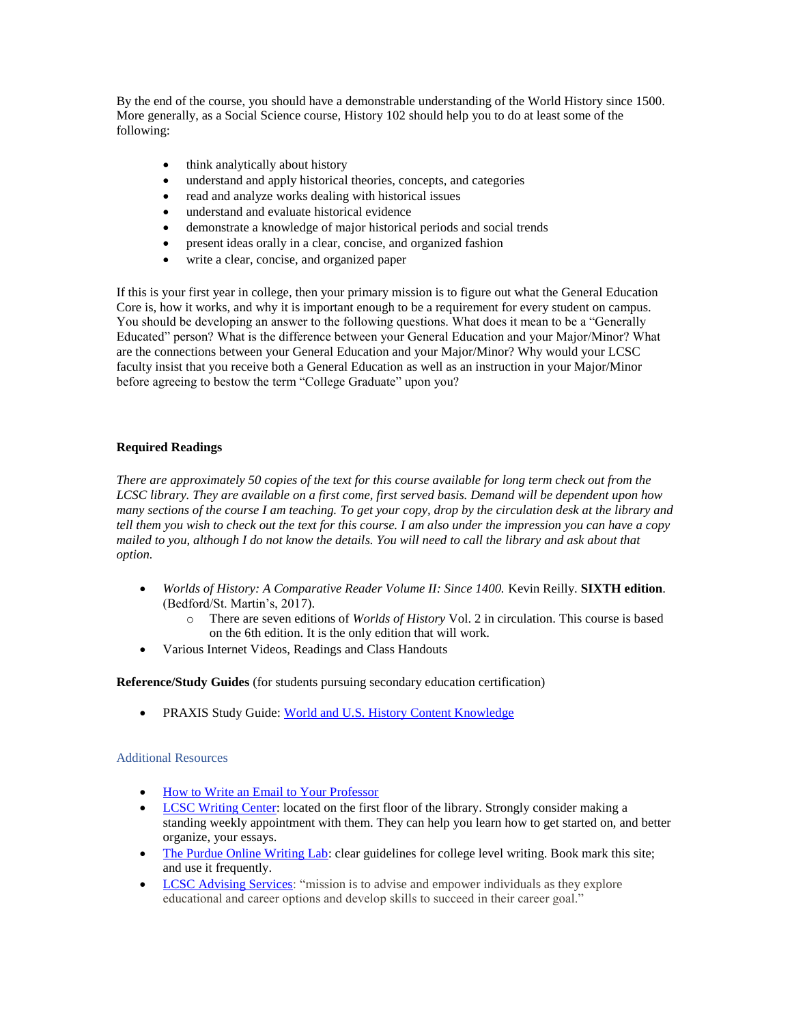By the end of the course, you should have a demonstrable understanding of the World History since 1500. More generally, as a Social Science course, History 102 should help you to do at least some of the following:

- think analytically about history
- understand and apply historical theories, concepts, and categories
- read and analyze works dealing with historical issues
- understand and evaluate historical evidence
- demonstrate a knowledge of major historical periods and social trends
- present ideas orally in a clear, concise, and organized fashion
- write a clear, concise, and organized paper

If this is your first year in college, then your primary mission is to figure out what the General Education Core is, how it works, and why it is important enough to be a requirement for every student on campus. You should be developing an answer to the following questions. What does it mean to be a "Generally Educated" person? What is the difference between your General Education and your Major/Minor? What are the connections between your General Education and your Major/Minor? Why would your LCSC faculty insist that you receive both a General Education as well as an instruction in your Major/Minor before agreeing to bestow the term "College Graduate" upon you?

# **Required Readings**

*There are approximately 50 copies of the text for this course available for long term check out from the LCSC library. They are available on a first come, first served basis. Demand will be dependent upon how many sections of the course I am teaching. To get your copy, drop by the circulation desk at the library and tell them you wish to check out the text for this course. I am also under the impression you can have a copy mailed to you, although I do not know the details. You will need to call the library and ask about that option.*

- *Worlds of History: A Comparative Reader Volume II: Since 1400.* Kevin Reilly. **SIXTH edition**. (Bedford/St. Martin's, 2017).
	- o There are seven editions of *Worlds of History* Vol. 2 in circulation. This course is based on the 6th edition. It is the only edition that will work.
- Various Internet Videos, Readings and Class Handouts

# **Reference/Study Guides** (for students pursuing secondary education certification)

• PRAXIS Study Guide[: World and U.S. History Content Knowledge](http://www.ets.org/s/praxis/pdf/5941.pdf)

# Additional Resources

- [How to Write an Email to Your Professor](https://www.insidehighered.com/views/2015/04/16/advice-students-so-they-dont-sound-silly-emails-essay)
- [LCSC Writing Center:](http://www.lcsc.edu/writing-center/) located on the first floor of the library. Strongly consider making a standing weekly appointment with them. They can help you learn how to get started on, and better organize, your essays.
- [The Purdue Online Writing Lab:](http://owl.english.purdue.edu/) clear guidelines for college level writing. Book mark this site; and use it frequently.
- [LCSC Advising Services:](https://www.lcsc.edu/advising-center/) "mission is to advise and empower individuals as they explore educational and career options and develop skills to succeed in their career goal."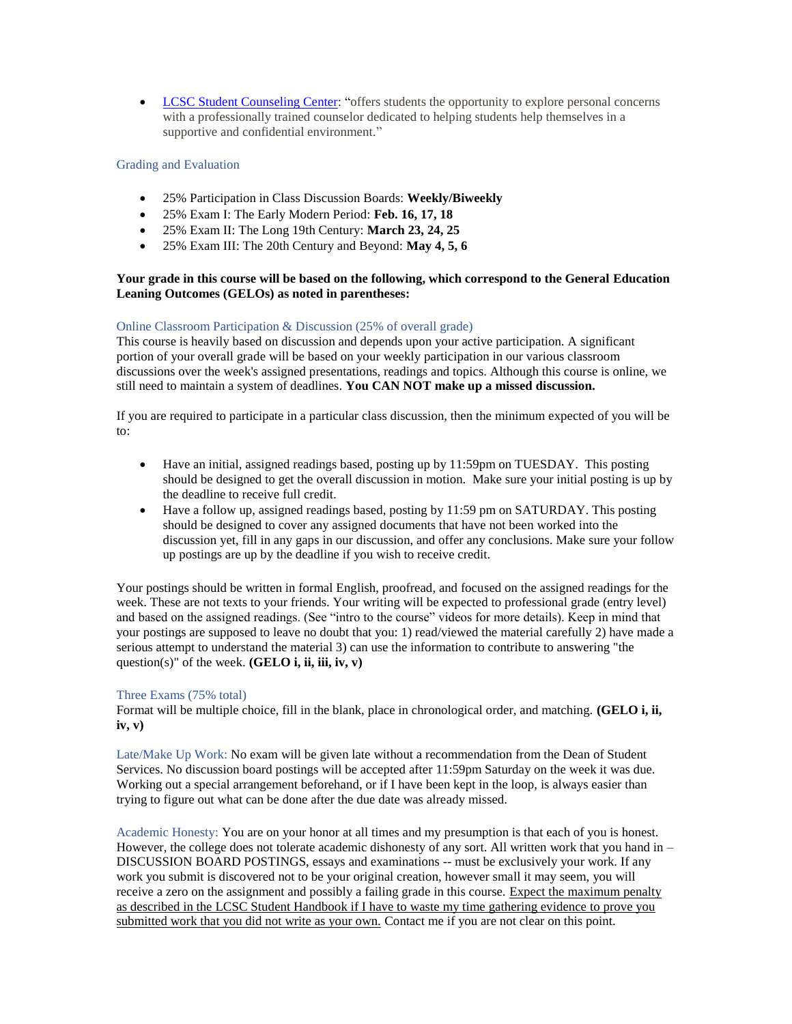• [LCSC Student Counseling Center:](https://www.lcsc.edu/student-counseling/) "offers students the opportunity to explore personal concerns with a professionally trained counselor dedicated to helping students help themselves in a supportive and confidential environment."

# Grading and Evaluation

- 25% Participation in Class Discussion Boards: **Weekly/Biweekly**
- 25% Exam I: The Early Modern Period: **Feb. 16, 17, 18**
- 25% Exam II: The Long 19th Century: **March 23, 24, 25**
- 25% Exam III: The 20th Century and Beyond: **May 4, 5, 6**

# **Your grade in this course will be based on the following, which correspond to the General Education Leaning Outcomes (GELOs) as noted in parentheses:**

# Online Classroom Participation & Discussion (25% of overall grade)

This course is heavily based on discussion and depends upon your active participation. A significant portion of your overall grade will be based on your weekly participation in our various classroom discussions over the week's assigned presentations, readings and topics. Although this course is online, we still need to maintain a system of deadlines. **You CAN NOT make up a missed discussion.** 

If you are required to participate in a particular class discussion, then the minimum expected of you will be to:

- Have an initial, assigned readings based, posting up by 11:59pm on TUESDAY. This posting should be designed to get the overall discussion in motion. Make sure your initial posting is up by the deadline to receive full credit.
- Have a follow up, assigned readings based, posting by 11:59 pm on SATURDAY. This posting should be designed to cover any assigned documents that have not been worked into the discussion yet, fill in any gaps in our discussion, and offer any conclusions. Make sure your follow up postings are up by the deadline if you wish to receive credit.

Your postings should be written in formal English, proofread, and focused on the assigned readings for the week. These are not texts to your friends. Your writing will be expected to professional grade (entry level) and based on the assigned readings. (See "intro to the course" videos for more details). Keep in mind that your postings are supposed to leave no doubt that you: 1) read/viewed the material carefully 2) have made a serious attempt to understand the material 3) can use the information to contribute to answering "the question(s)" of the week. **(GELO i, ii, iii, iv, v)** 

## Three Exams (75% total)

Format will be multiple choice, fill in the blank, place in chronological order, and matching. **(GELO i, ii, iv, v)**

Late/Make Up Work: No exam will be given late without a recommendation from the Dean of Student Services. No discussion board postings will be accepted after 11:59pm Saturday on the week it was due. Working out a special arrangement beforehand, or if I have been kept in the loop, is always easier than trying to figure out what can be done after the due date was already missed.

Academic Honesty: You are on your honor at all times and my presumption is that each of you is honest. However, the college does not tolerate academic dishonesty of any sort. All written work that you hand in – DISCUSSION BOARD POSTINGS, essays and examinations -- must be exclusively your work. If any work you submit is discovered not to be your original creation, however small it may seem, you will receive a zero on the assignment and possibly a failing grade in this course. Expect the maximum penalty as described in the LCSC Student Handbook if I have to waste my time gathering evidence to prove you submitted work that you did not write as your own. Contact me if you are not clear on this point.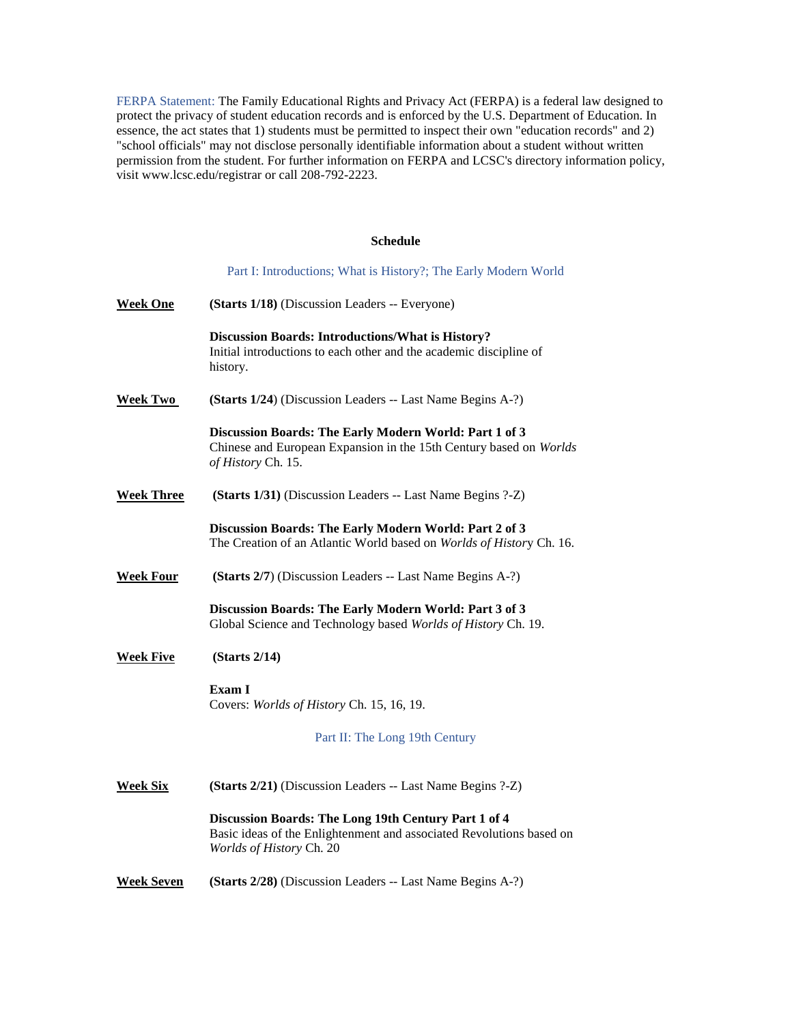FERPA Statement: The Family Educational Rights and Privacy Act (FERPA) is a federal law designed to protect the privacy of student education records and is enforced by the U.S. Department of Education. In essence, the act states that 1) students must be permitted to inspect their own "education records" and 2) "school officials" may not disclose personally identifiable information about a student without written permission from the student. For further information on FERPA and LCSC's directory information policy, visit www.lcsc.edu/registrar or call 208-792-2223.

#### **Schedule**

|                   | Part I: Introductions; What is History?; The Early Modern World                                                                                          |
|-------------------|----------------------------------------------------------------------------------------------------------------------------------------------------------|
| <b>Week One</b>   | (Starts 1/18) (Discussion Leaders -- Everyone)                                                                                                           |
|                   | <b>Discussion Boards: Introductions/What is History?</b><br>Initial introductions to each other and the academic discipline of<br>history.               |
| <b>Week Two</b>   | (Starts 1/24) (Discussion Leaders -- Last Name Begins A-?)                                                                                               |
|                   | Discussion Boards: The Early Modern World: Part 1 of 3<br>Chinese and European Expansion in the 15th Century based on Worlds<br>of History Ch. 15.       |
| <b>Week Three</b> | (Starts 1/31) (Discussion Leaders -- Last Name Begins ?-Z)                                                                                               |
|                   | Discussion Boards: The Early Modern World: Part 2 of 3<br>The Creation of an Atlantic World based on Worlds of History Ch. 16.                           |
| <b>Week Four</b>  | (Starts 2/7) (Discussion Leaders -- Last Name Begins A-?)                                                                                                |
|                   | Discussion Boards: The Early Modern World: Part 3 of 3<br>Global Science and Technology based Worlds of History Ch. 19.                                  |
| <b>Week Five</b>  | (Starts 2/14)                                                                                                                                            |
|                   | Exam I<br>Covers: Worlds of History Ch. 15, 16, 19.                                                                                                      |
|                   | Part II: The Long 19th Century                                                                                                                           |
| <b>Week Six</b>   | (Starts 2/21) (Discussion Leaders -- Last Name Begins ?-Z)                                                                                               |
|                   | Discussion Boards: The Long 19th Century Part 1 of 4<br>Basic ideas of the Enlightenment and associated Revolutions based on<br>Worlds of History Ch. 20 |
| <b>Week Seven</b> | (Starts 2/28) (Discussion Leaders -- Last Name Begins A-?)                                                                                               |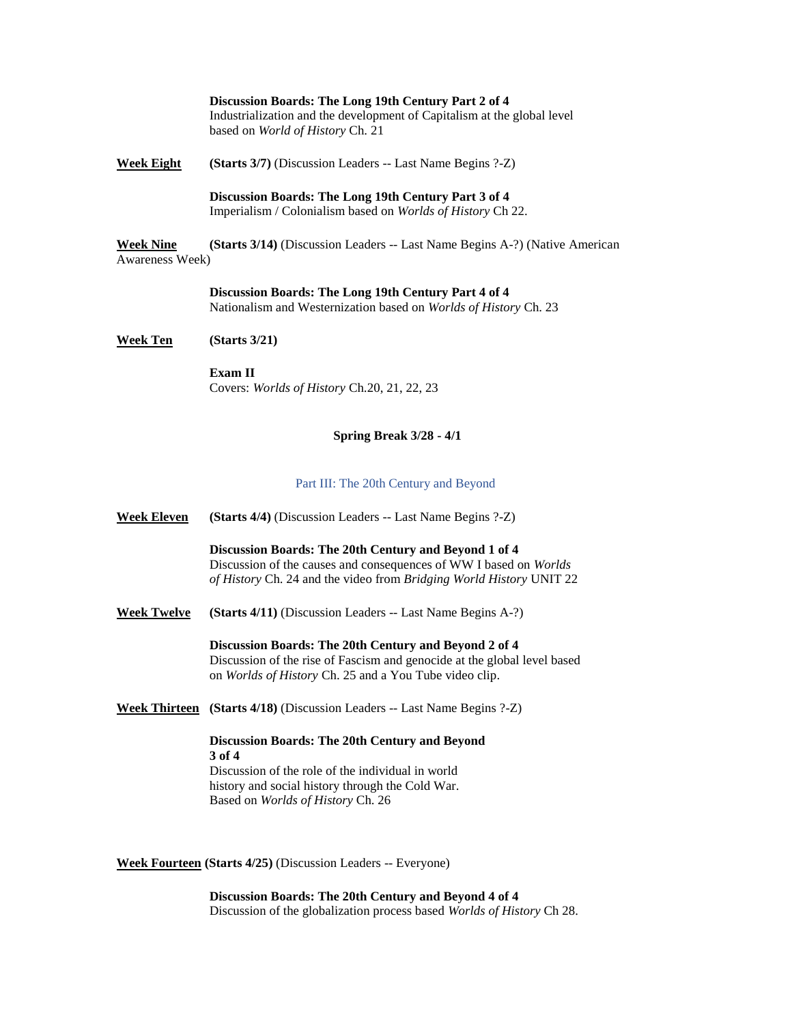|                                     | <b>Spring Break 3/28 - 4/1</b>                                                                                           |
|-------------------------------------|--------------------------------------------------------------------------------------------------------------------------|
|                                     | Exam II<br>Covers: Worlds of History Ch.20, 21, 22, 23                                                                   |
| <b>Week Ten</b>                     | (Starts 3/21)                                                                                                            |
|                                     | Discussion Boards: The Long 19th Century Part 4 of 4<br>Nationalism and Westernization based on Worlds of History Ch. 23 |
| <b>Week Nine</b><br>Awareness Week) | (Starts 3/14) (Discussion Leaders -- Last Name Begins A-?) (Native American                                              |
|                                     | Discussion Boards: The Long 19th Century Part 3 of 4<br>Imperialism / Colonialism based on Worlds of History Ch 22.      |
| <b>Week Eight</b>                   | (Starts 3/7) (Discussion Leaders -- Last Name Begins ?-Z)                                                                |
|                                     | Industrialization and the development of Capitalism at the global level<br>based on World of History Ch. 21              |

**Discussion Boards: The Long 19th Century Part 2 of 4** 

#### Part III: The 20th Century and Beyond

**Week Eleven (Starts 4/4)** (Discussion Leaders -- Last Name Begins ?-Z)

**Discussion Boards: The 20th Century and Beyond 1 of 4** Discussion of the causes and consequences of WW I based on *Worlds of History* Ch. 24 and the video from *Bridging World History* UNIT 22

**Week Twelve** (Starts 4/11) (Discussion Leaders -- Last Name Begins A-?)

**Discussion Boards: The 20th Century and Beyond 2 of 4** Discussion of the rise of Fascism and genocide at the global level based on *Worlds of History* Ch. 25 and a You Tube video clip.

**Week Thirteen (Starts 4/18)** (Discussion Leaders -- Last Name Begins ?-Z)

**Discussion Boards: The 20th Century and Beyond 3 of 4** Discussion of the role of the individual in world history and social history through the Cold War. Based on *Worlds of History* Ch. 26

**Week Fourteen (Starts 4/25)** (Discussion Leaders -- Everyone)

**Discussion Boards: The 20th Century and Beyond 4 of 4**  Discussion of the globalization process based *Worlds of History* Ch 28.